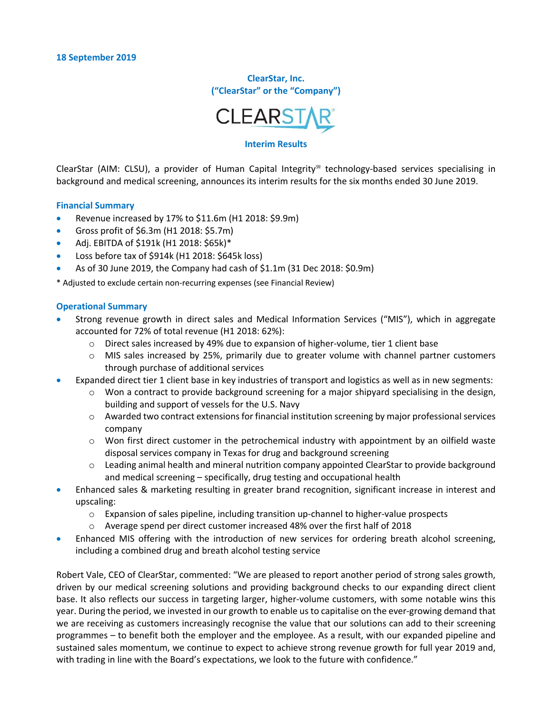**ClearStar, Inc. ("ClearStar" or the "Company")**



#### **Interim Results**

ClearStar (AIM: CLSU), a provider of Human Capital Integrity℠ technology-based services specialising in background and medical screening, announces its interim results for the six months ended 30 June 2019.

#### **Financial Summary**

- Revenue increased by 17% to \$11.6m (H1 2018: \$9.9m)
- Gross profit of \$6.3m (H1 2018: \$5.7m)
- Adj. EBITDA of \$191k (H1 2018: \$65k)\*
- Loss before tax of \$914k (H1 2018: \$645k loss)
- As of 30 June 2019, the Company had cash of \$1.1m (31 Dec 2018: \$0.9m)

\* Adjusted to exclude certain non-recurring expenses (see Financial Review)

#### **Operational Summary**

- Strong revenue growth in direct sales and Medical Information Services ("MIS"), which in aggregate accounted for 72% of total revenue (H1 2018: 62%):
	- o Direct sales increased by 49% due to expansion of higher-volume, tier 1 client base
	- o MIS sales increased by 25%, primarily due to greater volume with channel partner customers through purchase of additional services
- Expanded direct tier 1 client base in key industries of transport and logistics as well as in new segments:
	- $\circ$  Won a contract to provide background screening for a major shipyard specialising in the design, building and support of vessels for the U.S. Navy
	- o Awarded two contract extensions for financial institution screening by major professional services company
	- o Won first direct customer in the petrochemical industry with appointment by an oilfield waste disposal services company in Texas for drug and background screening
	- o Leading animal health and mineral nutrition company appointed ClearStar to provide background and medical screening – specifically, drug testing and occupational health
- Enhanced sales & marketing resulting in greater brand recognition, significant increase in interest and upscaling:
	- o Expansion of sales pipeline, including transition up-channel to higher-value prospects
	- o Average spend per direct customer increased 48% over the first half of 2018
- Enhanced MIS offering with the introduction of new services for ordering breath alcohol screening, including a combined drug and breath alcohol testing service

Robert Vale, CEO of ClearStar, commented: "We are pleased to report another period of strong sales growth, driven by our medical screening solutions and providing background checks to our expanding direct client base. It also reflects our success in targeting larger, higher-volume customers, with some notable wins this year. During the period, we invested in our growth to enable us to capitalise on the ever-growing demand that we are receiving as customers increasingly recognise the value that our solutions can add to their screening programmes – to benefit both the employer and the employee. As a result, with our expanded pipeline and sustained sales momentum, we continue to expect to achieve strong revenue growth for full year 2019 and, with trading in line with the Board's expectations, we look to the future with confidence."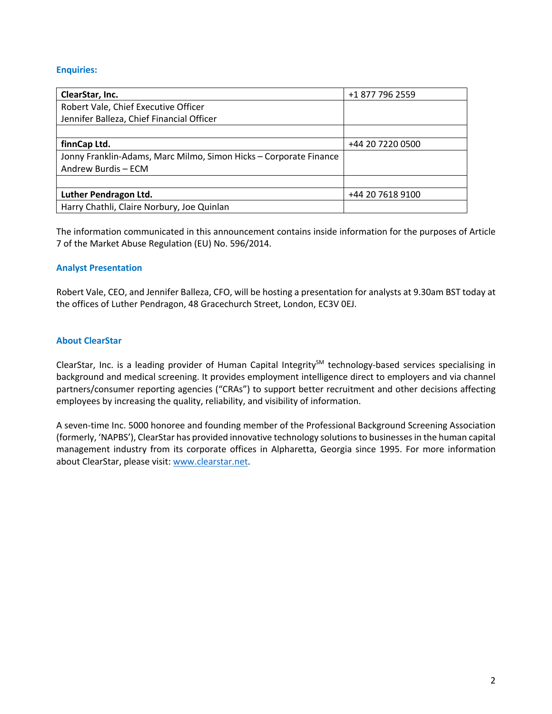## **Enquiries:**

| ClearStar, Inc.                                                   | +1 877 796 2559  |
|-------------------------------------------------------------------|------------------|
| Robert Vale, Chief Executive Officer                              |                  |
| Jennifer Balleza, Chief Financial Officer                         |                  |
|                                                                   |                  |
| finnCap Ltd.                                                      | +44 20 7220 0500 |
| Jonny Franklin-Adams, Marc Milmo, Simon Hicks - Corporate Finance |                  |
| Andrew Burdis - ECM                                               |                  |
|                                                                   |                  |
| Luther Pendragon Ltd.                                             | +44 20 7618 9100 |
| Harry Chathli, Claire Norbury, Joe Quinlan                        |                  |

The information communicated in this announcement contains inside information for the purposes of Article 7 of the Market Abuse Regulation (EU) No. 596/2014.

#### **Analyst Presentation**

Robert Vale, CEO, and Jennifer Balleza, CFO, will be hosting a presentation for analysts at 9.30am BST today at the offices of Luther Pendragon, 48 Gracechurch Street, London, EC3V 0EJ.

#### **About ClearStar**

ClearStar, Inc. is a leading provider of Human Capital Integrity<sup>SM</sup> technology-based services specialising in background and medical screening. It provides employment intelligence direct to employers and via channel partners/consumer reporting agencies ("CRAs") to support better recruitment and other decisions affecting employees by increasing the quality, reliability, and visibility of information.

A seven-time Inc. 5000 honoree and founding member of the Professional Background Screening Association (formerly, 'NAPBS'), ClearStar has provided innovative technology solutions to businesses in the human capital management industry from its corporate offices in Alpharetta, Georgia since 1995. For more information about ClearStar, please visit: www.clearstar.net.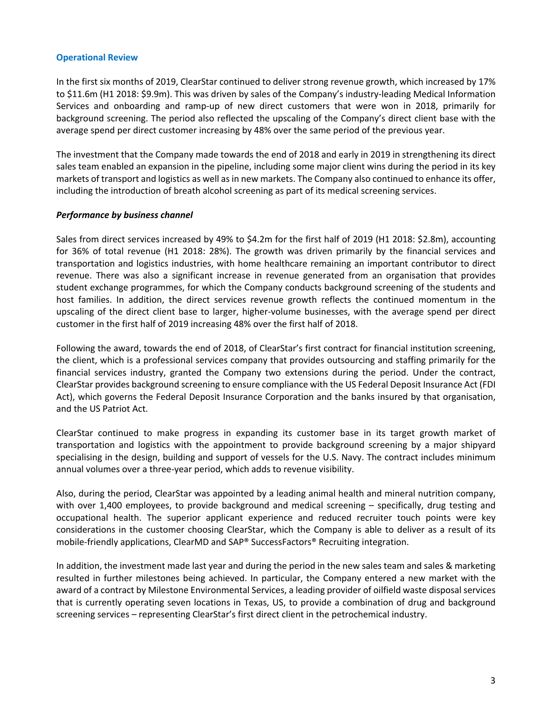#### **Operational Review**

In the first six months of 2019, ClearStar continued to deliver strong revenue growth, which increased by 17% to \$11.6m (H1 2018: \$9.9m). This was driven by sales of the Company's industry-leading Medical Information Services and onboarding and ramp-up of new direct customers that were won in 2018, primarily for background screening. The period also reflected the upscaling of the Company's direct client base with the average spend per direct customer increasing by 48% over the same period of the previous year.

The investment that the Company made towards the end of 2018 and early in 2019 in strengthening its direct sales team enabled an expansion in the pipeline, including some major client wins during the period in its key markets of transport and logistics as well as in new markets. The Company also continued to enhance its offer, including the introduction of breath alcohol screening as part of its medical screening services.

#### *Performance by business channel*

Sales from direct services increased by 49% to \$4.2m for the first half of 2019 (H1 2018: \$2.8m), accounting for 36% of total revenue (H1 2018: 28%). The growth was driven primarily by the financial services and transportation and logistics industries, with home healthcare remaining an important contributor to direct revenue. There was also a significant increase in revenue generated from an organisation that provides student exchange programmes, for which the Company conducts background screening of the students and host families. In addition, the direct services revenue growth reflects the continued momentum in the upscaling of the direct client base to larger, higher-volume businesses, with the average spend per direct customer in the first half of 2019 increasing 48% over the first half of 2018.

Following the award, towards the end of 2018, of ClearStar's first contract for financial institution screening, the client, which is a professional services company that provides outsourcing and staffing primarily for the financial services industry, granted the Company two extensions during the period. Under the contract, ClearStar provides background screening to ensure compliance with the US Federal Deposit Insurance Act (FDI Act), which governs the Federal Deposit Insurance Corporation and the banks insured by that organisation, and the US Patriot Act.

ClearStar continued to make progress in expanding its customer base in its target growth market of transportation and logistics with the appointment to provide background screening by a major shipyard specialising in the design, building and support of vessels for the U.S. Navy. The contract includes minimum annual volumes over a three-year period, which adds to revenue visibility.

Also, during the period, ClearStar was appointed by a leading animal health and mineral nutrition company, with over 1,400 employees, to provide background and medical screening – specifically, drug testing and occupational health. The superior applicant experience and reduced recruiter touch points were key considerations in the customer choosing ClearStar, which the Company is able to deliver as a result of its mobile-friendly applications, ClearMD and SAP® SuccessFactors® Recruiting integration.

In addition, the investment made last year and during the period in the new sales team and sales & marketing resulted in further milestones being achieved. In particular, the Company entered a new market with the award of a contract by Milestone Environmental Services, a leading provider of oilfield waste disposal services that is currently operating seven locations in Texas, US, to provide a combination of drug and background screening services – representing ClearStar's first direct client in the petrochemical industry.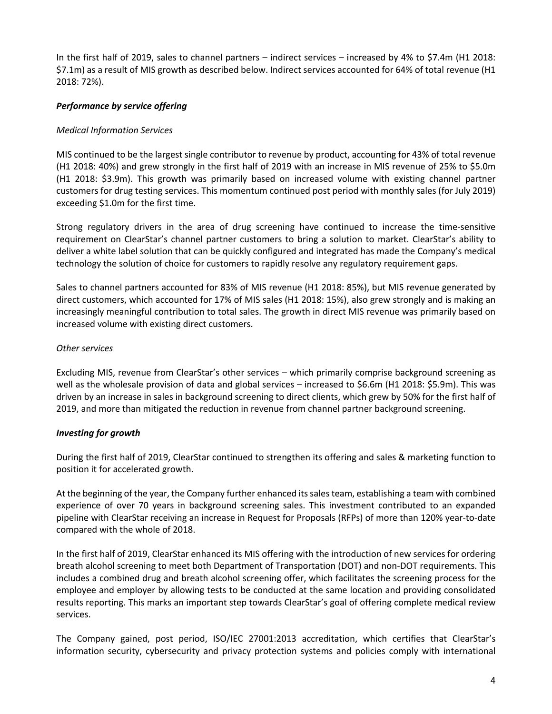In the first half of 2019, sales to channel partners – indirect services – increased by 4% to \$7.4m (H1 2018: \$7.1m) as a result of MIS growth as described below. Indirect services accounted for 64% of total revenue (H1 2018: 72%).

# *Performance by service offering*

#### *Medical Information Services*

MIS continued to be the largest single contributor to revenue by product, accounting for 43% of total revenue (H1 2018: 40%) and grew strongly in the first half of 2019 with an increase in MIS revenue of 25% to \$5.0m (H1 2018: \$3.9m). This growth was primarily based on increased volume with existing channel partner customers for drug testing services. This momentum continued post period with monthly sales (for July 2019) exceeding \$1.0m for the first time.

Strong regulatory drivers in the area of drug screening have continued to increase the time-sensitive requirement on ClearStar's channel partner customers to bring a solution to market. ClearStar's ability to deliver a white label solution that can be quickly configured and integrated has made the Company's medical technology the solution of choice for customers to rapidly resolve any regulatory requirement gaps.

Sales to channel partners accounted for 83% of MIS revenue (H1 2018: 85%), but MIS revenue generated by direct customers, which accounted for 17% of MIS sales (H1 2018: 15%), also grew strongly and is making an increasingly meaningful contribution to total sales. The growth in direct MIS revenue was primarily based on increased volume with existing direct customers.

#### *Other services*

Excluding MIS, revenue from ClearStar's other services – which primarily comprise background screening as well as the wholesale provision of data and global services – increased to \$6.6m (H1 2018: \$5.9m). This was driven by an increase in sales in background screening to direct clients, which grew by 50% for the first half of 2019, and more than mitigated the reduction in revenue from channel partner background screening.

#### *Investing for growth*

During the first half of 2019, ClearStar continued to strengthen its offering and sales & marketing function to position it for accelerated growth.

At the beginning of the year, the Company further enhanced its sales team, establishing a team with combined experience of over 70 years in background screening sales. This investment contributed to an expanded pipeline with ClearStar receiving an increase in Request for Proposals (RFPs) of more than 120% year-to-date compared with the whole of 2018.

In the first half of 2019, ClearStar enhanced its MIS offering with the introduction of new services for ordering breath alcohol screening to meet both Department of Transportation (DOT) and non-DOT requirements. This includes a combined drug and breath alcohol screening offer, which facilitates the screening process for the employee and employer by allowing tests to be conducted at the same location and providing consolidated results reporting. This marks an important step towards ClearStar's goal of offering complete medical review services.

The Company gained, post period, ISO/IEC 27001:2013 accreditation, which certifies that ClearStar's information security, cybersecurity and privacy protection systems and policies comply with international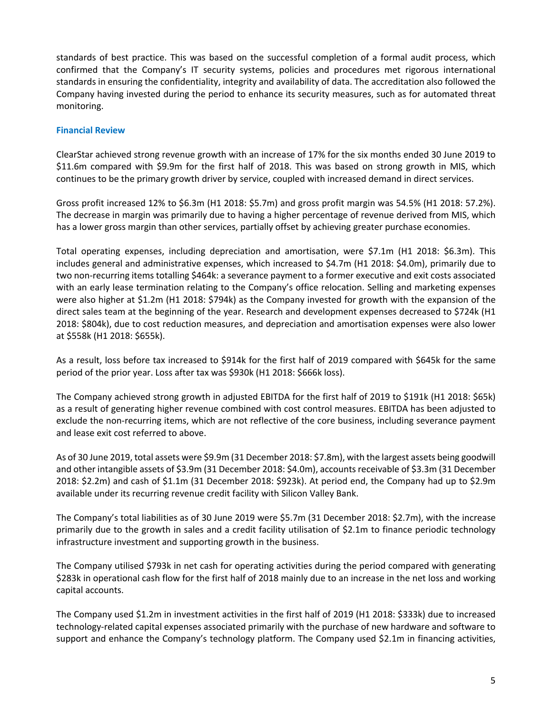standards of best practice. This was based on the successful completion of a formal audit process, which confirmed that the Company's IT security systems, policies and procedures met rigorous international standards in ensuring the confidentiality, integrity and availability of data. The accreditation also followed the Company having invested during the period to enhance its security measures, such as for automated threat monitoring.

#### **Financial Review**

ClearStar achieved strong revenue growth with an increase of 17% for the six months ended 30 June 2019 to \$11.6m compared with \$9.9m for the first half of 2018. This was based on strong growth in MIS, which continues to be the primary growth driver by service, coupled with increased demand in direct services.

Gross profit increased 12% to \$6.3m (H1 2018: \$5.7m) and gross profit margin was 54.5% (H1 2018: 57.2%). The decrease in margin was primarily due to having a higher percentage of revenue derived from MIS, which has a lower gross margin than other services, partially offset by achieving greater purchase economies.

Total operating expenses, including depreciation and amortisation, were \$7.1m (H1 2018: \$6.3m). This includes general and administrative expenses, which increased to \$4.7m (H1 2018: \$4.0m), primarily due to two non-recurring items totalling \$464k: a severance payment to a former executive and exit costs associated with an early lease termination relating to the Company's office relocation. Selling and marketing expenses were also higher at \$1.2m (H1 2018: \$794k) as the Company invested for growth with the expansion of the direct sales team at the beginning of the year. Research and development expenses decreased to \$724k (H1 2018: \$804k), due to cost reduction measures, and depreciation and amortisation expenses were also lower at \$558k (H1 2018: \$655k).

As a result, loss before tax increased to \$914k for the first half of 2019 compared with \$645k for the same period of the prior year. Loss after tax was \$930k (H1 2018: \$666k loss).

The Company achieved strong growth in adjusted EBITDA for the first half of 2019 to \$191k (H1 2018: \$65k) as a result of generating higher revenue combined with cost control measures. EBITDA has been adjusted to exclude the non-recurring items, which are not reflective of the core business, including severance payment and lease exit cost referred to above.

As of 30 June 2019, total assets were \$9.9m (31 December 2018: \$7.8m), with the largest assets being goodwill and other intangible assets of \$3.9m (31 December 2018: \$4.0m), accounts receivable of \$3.3m (31 December 2018: \$2.2m) and cash of \$1.1m (31 December 2018: \$923k). At period end, the Company had up to \$2.9m available under its recurring revenue credit facility with Silicon Valley Bank.

The Company's total liabilities as of 30 June 2019 were \$5.7m (31 December 2018: \$2.7m), with the increase primarily due to the growth in sales and a credit facility utilisation of \$2.1m to finance periodic technology infrastructure investment and supporting growth in the business.

The Company utilised \$793k in net cash for operating activities during the period compared with generating \$283k in operational cash flow for the first half of 2018 mainly due to an increase in the net loss and working capital accounts.

The Company used \$1.2m in investment activities in the first half of 2019 (H1 2018: \$333k) due to increased technology-related capital expenses associated primarily with the purchase of new hardware and software to support and enhance the Company's technology platform. The Company used \$2.1m in financing activities,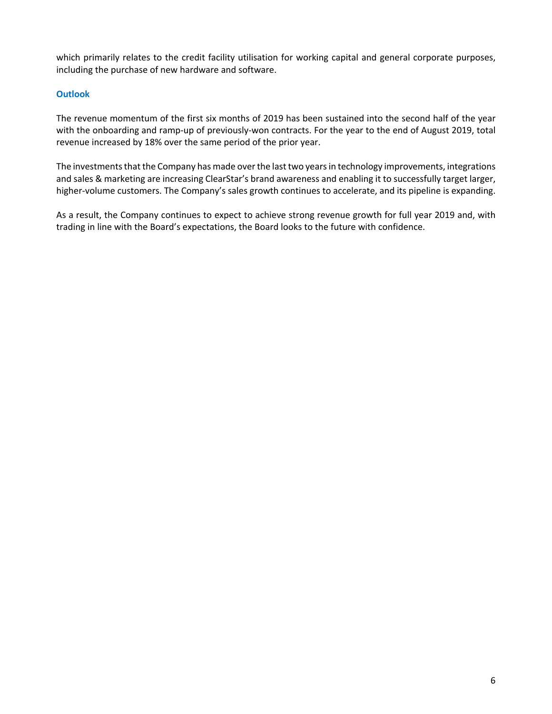which primarily relates to the credit facility utilisation for working capital and general corporate purposes, including the purchase of new hardware and software.

## **Outlook**

The revenue momentum of the first six months of 2019 has been sustained into the second half of the year with the onboarding and ramp-up of previously-won contracts. For the year to the end of August 2019, total revenue increased by 18% over the same period of the prior year.

The investments that the Company has made over the last two years in technology improvements, integrations and sales & marketing are increasing ClearStar's brand awareness and enabling it to successfully target larger, higher-volume customers. The Company's sales growth continues to accelerate, and its pipeline is expanding.

As a result, the Company continues to expect to achieve strong revenue growth for full year 2019 and, with trading in line with the Board's expectations, the Board looks to the future with confidence.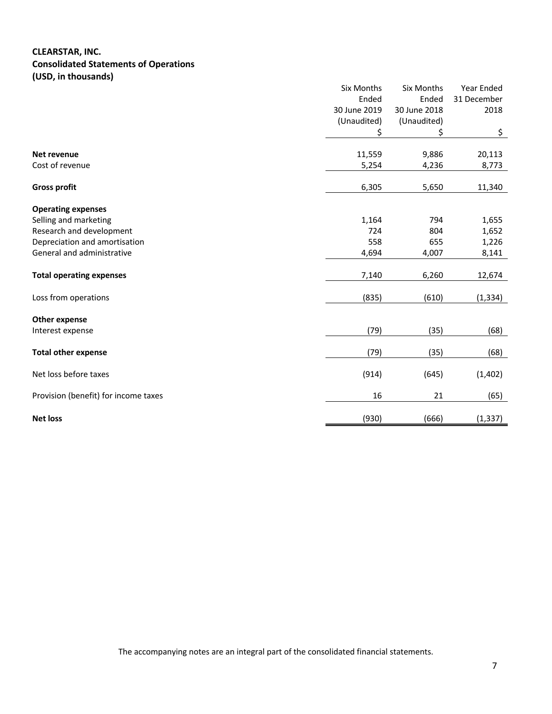# **CLEARSTAR, INC. Consolidated Statements of Operations (USD, in thousands)**

|                                          | Six Months   | <b>Six Months</b> | Year Ended  |
|------------------------------------------|--------------|-------------------|-------------|
|                                          | Ended        | Ended             | 31 December |
|                                          | 30 June 2019 | 30 June 2018      | 2018        |
|                                          | (Unaudited)  | (Unaudited)       |             |
|                                          | \$           | \$                | \$          |
| Net revenue                              | 11,559       | 9,886             | 20,113      |
| Cost of revenue                          | 5,254        | 4,236             | 8,773       |
| <b>Gross profit</b>                      | 6,305        | 5,650             | 11,340      |
|                                          |              |                   |             |
| <b>Operating expenses</b>                |              |                   |             |
| Selling and marketing                    | 1,164        | 794               | 1,655       |
| Research and development                 | 724          | 804               | 1,652       |
| Depreciation and amortisation            | 558          | 655               | 1,226       |
| General and administrative               | 4,694        | 4,007             | 8,141       |
| <b>Total operating expenses</b>          | 7,140        | 6,260             | 12,674      |
| Loss from operations                     | (835)        | (610)             | (1, 334)    |
|                                          |              |                   |             |
| <b>Other expense</b><br>Interest expense | (79)         | (35)              | (68)        |
|                                          |              |                   |             |
| <b>Total other expense</b>               | (79)         | (35)              | (68)        |
| Net loss before taxes                    | (914)        | (645)             | (1,402)     |
| Provision (benefit) for income taxes     | 16           | 21                | (65)        |
| <b>Net loss</b>                          | (930)        | (666)             | (1, 337)    |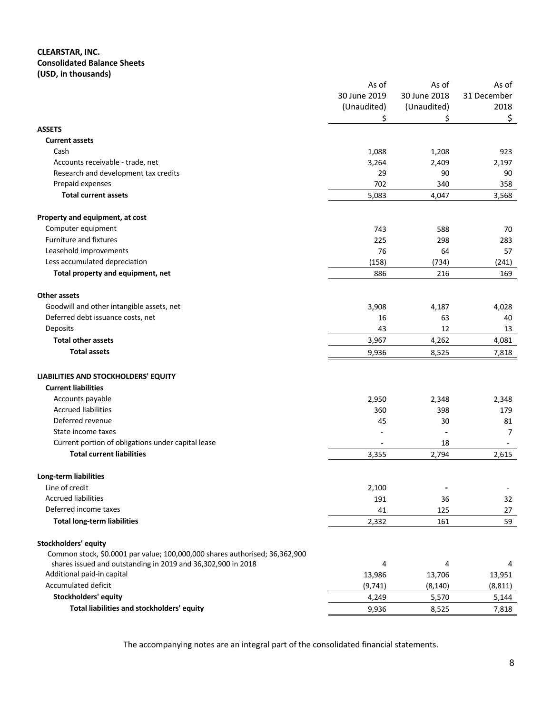#### **CLEARSTAR, INC. Consolidated Balance Sheets (USD, in thousands)**

|                                                                             | As of        | As of          | As of        |
|-----------------------------------------------------------------------------|--------------|----------------|--------------|
|                                                                             | 30 June 2019 | 30 June 2018   | 31 December  |
|                                                                             | (Unaudited)  | (Unaudited)    | 2018         |
|                                                                             | Ś            | Ś              | \$           |
| <b>ASSETS</b>                                                               |              |                |              |
| <b>Current assets</b>                                                       |              |                |              |
| Cash                                                                        | 1,088        | 1,208          | 923          |
| Accounts receivable - trade, net                                            | 3,264        | 2,409          | 2,197        |
| Research and development tax credits                                        | 29           | 90             | 90           |
| Prepaid expenses                                                            | 702          | 340            | 358          |
| <b>Total current assets</b>                                                 | 5,083        | 4,047          | 3,568        |
| Property and equipment, at cost                                             |              |                |              |
| Computer equipment                                                          | 743          | 588            | 70           |
| Furniture and fixtures                                                      | 225          | 298            | 283          |
| Leasehold improvements                                                      | 76           | 64             | 57           |
| Less accumulated depreciation                                               | (158)        | (734)          | (241)        |
| Total property and equipment, net                                           | 886          | 216            | 169          |
| Other assets                                                                |              |                |              |
| Goodwill and other intangible assets, net                                   | 3,908        | 4,187          | 4,028        |
| Deferred debt issuance costs, net                                           | 16           | 63             | 40           |
| Deposits                                                                    | 43           | 12             | 13           |
| <b>Total other assets</b>                                                   | 3,967        | 4,262          | 4,081        |
| <b>Total assets</b>                                                         | 9,936        | 8,525          | 7,818        |
| LIABILITIES AND STOCKHOLDERS' EQUITY                                        |              |                |              |
| <b>Current liabilities</b>                                                  |              |                |              |
| Accounts payable                                                            | 2,950        |                |              |
| <b>Accrued liabilities</b>                                                  | 360          | 2,348<br>398   | 2,348<br>179 |
| Deferred revenue                                                            | 45           | 30             | 81           |
| State income taxes                                                          |              |                | 7            |
| Current portion of obligations under capital lease                          |              | 18             |              |
| <b>Total current liabilities</b>                                            | 3,355        | 2,794          | 2,615        |
|                                                                             |              |                |              |
| Long-term liabilities                                                       |              |                |              |
| Line of credit                                                              | 2,100        | $\blacksquare$ | ۰            |
| <b>Accrued liabilities</b>                                                  | 191          | 36             | 32           |
| Deferred income taxes                                                       | 41           | 125            | 27           |
| <b>Total long-term liabilities</b>                                          | 2,332        | 161            | 59           |
| Stockholders' equity                                                        |              |                |              |
| Common stock, \$0.0001 par value; 100,000,000 shares authorised; 36,362,900 |              |                |              |
| shares issued and outstanding in 2019 and 36,302,900 in 2018                | 4            | 4              | 4            |
| Additional paid-in capital                                                  | 13,986       | 13,706         | 13,951       |
| <b>Accumulated deficit</b>                                                  | (9,741)      | (8, 140)       | (8, 811)     |
| Stockholders' equity                                                        | 4,249        | 5,570          | 5,144        |
| Total liabilities and stockholders' equity                                  | 9,936        | 8,525          | 7,818        |

The accompanying notes are an integral part of the consolidated financial statements.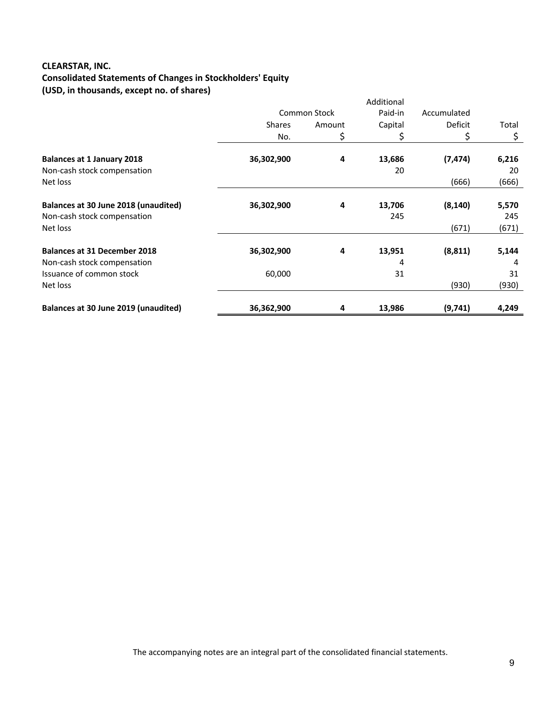# **CLEARSTAR, INC. Consolidated Statements of Changes in Stockholders' Equity (USD, in thousands, except no. of shares)**

|                                                                     |               |                     | Additional    |                |              |
|---------------------------------------------------------------------|---------------|---------------------|---------------|----------------|--------------|
|                                                                     |               | <b>Common Stock</b> | Paid-in       | Accumulated    |              |
|                                                                     | <b>Shares</b> | Amount              | Capital       | <b>Deficit</b> | Total        |
|                                                                     | No.           | \$                  | \$.           | \$             | \$           |
| <b>Balances at 1 January 2018</b>                                   | 36,302,900    | 4                   | 13,686        | (7, 474)       | 6,216        |
| Non-cash stock compensation<br>Net loss                             |               |                     | 20            | (666)          | 20<br>(666)  |
| Balances at 30 June 2018 (unaudited)<br>Non-cash stock compensation | 36,302,900    | 4                   | 13,706<br>245 | (8, 140)       | 5,570<br>245 |
| Net loss                                                            |               |                     |               | (671)          | (671)        |
| <b>Balances at 31 December 2018</b>                                 | 36,302,900    | 4                   | 13,951        | (8, 811)       | 5,144        |
| Non-cash stock compensation                                         |               |                     | 4             |                | 4            |
| Issuance of common stock                                            | 60,000        |                     | 31            |                | 31           |
| Net loss                                                            |               |                     |               | (930)          | (930)        |
| Balances at 30 June 2019 (unaudited)                                | 36,362,900    | 4                   | 13,986        | (9,741)        | 4,249        |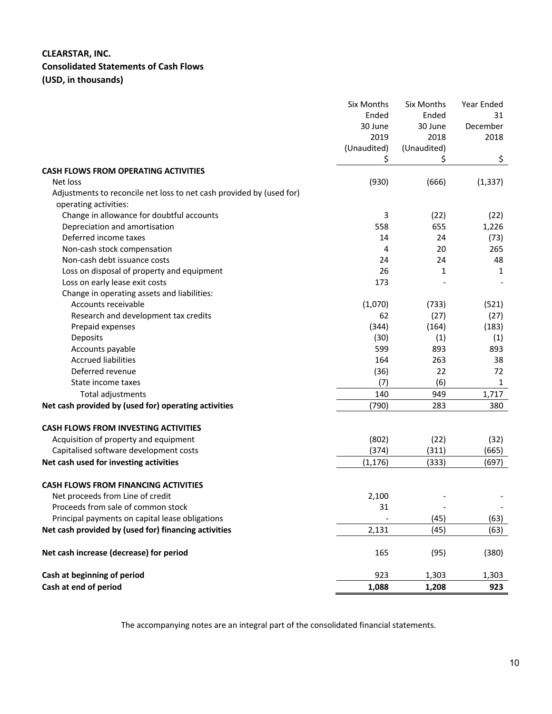# **CLEARSTAR, INC. Consolidated Statements of Cash Flows (USD, in thousands)**

|                                                                               | <b>Six Months</b> | Six Months  | Year Ended |
|-------------------------------------------------------------------------------|-------------------|-------------|------------|
|                                                                               | Ended             | Ended       | 31         |
|                                                                               | 30 June           | 30 June     | December   |
|                                                                               | 2019              | 2018        | 2018       |
|                                                                               | (Unaudited)       | (Unaudited) |            |
|                                                                               | Ş                 | Ş           | \$         |
| <b>CASH FLOWS FROM OPERATING ACTIVITIES</b>                                   |                   |             |            |
| Net loss                                                                      | (930)             | (666)       | (1, 337)   |
| Adjustments to reconcile net loss to net cash provided by (used for)          |                   |             |            |
| operating activities:                                                         |                   |             |            |
| Change in allowance for doubtful accounts                                     | 3                 | (22)        | (22)       |
| Depreciation and amortisation                                                 | 558               | 655         | 1,226      |
| Deferred income taxes                                                         | 14                | 24          | (73)       |
| Non-cash stock compensation<br>Non-cash debt issuance costs                   | 4                 | 20<br>24    | 265        |
|                                                                               | 24<br>26          |             | 48         |
| Loss on disposal of property and equipment                                    |                   | 1           | 1          |
| Loss on early lease exit costs<br>Change in operating assets and liabilities: | 173               |             |            |
| Accounts receivable                                                           | (1,070)           | (733)       | (521)      |
| Research and development tax credits                                          | 62                | (27)        | (27)       |
| Prepaid expenses                                                              | (344)             | (164)       | (183)      |
| Deposits                                                                      | (30)              | (1)         | (1)        |
| Accounts payable                                                              | 599               | 893         | 893        |
| <b>Accrued liabilities</b>                                                    | 164               | 263         | 38         |
| Deferred revenue                                                              | (36)              | 22          | 72         |
| State income taxes                                                            | (7)               | (6)         | 1          |
| Total adjustments                                                             | 140               | 949         | 1,717      |
| Net cash provided by (used for) operating activities                          | (790)             | 283         | 380        |
|                                                                               |                   |             |            |
| <b>CASH FLOWS FROM INVESTING ACTIVITIES</b>                                   |                   |             |            |
| Acquisition of property and equipment                                         | (802)             | (22)        | (32)       |
| Capitalised software development costs                                        | (374)             | (311)       | (665)      |
| Net cash used for investing activities                                        | (1, 176)          | (333)       | (697)      |
| <b>CASH FLOWS FROM FINANCING ACTIVITIES</b>                                   |                   |             |            |
| Net proceeds from Line of credit                                              | 2,100             |             |            |
| Proceeds from sale of common stock                                            | 31                |             |            |
| Principal payments on capital lease obligations                               |                   | (45)        | (63)       |
| Net cash provided by (used for) financing activities                          | 2,131             | (45)        | (63)       |
|                                                                               |                   |             |            |
| Net cash increase (decrease) for period                                       | 165               | (95)        | (380)      |
| Cash at beginning of period                                                   | 923               | 1,303       | 1,303      |
| Cash at end of period                                                         | 1,088             | 1,208       | 923        |

The accompanying notes are an integral part of the consolidated financial statements.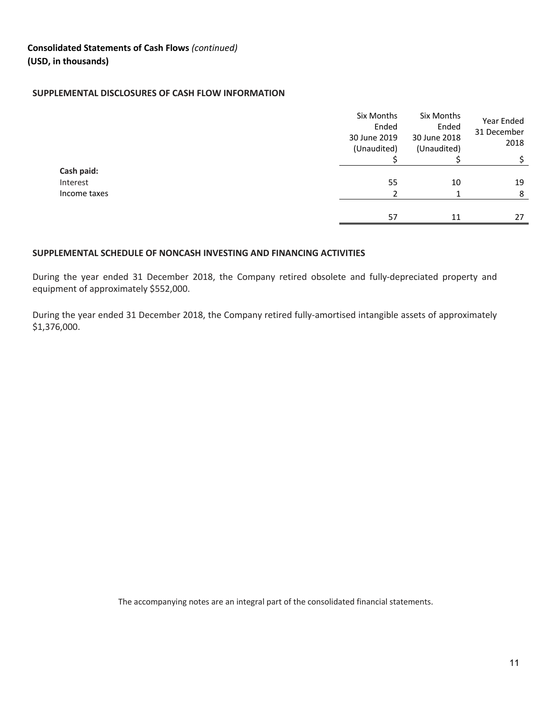#### **SUPPLEMENTAL DISCLOSURES OF CASH FLOW INFORMATION**

|              | Six Months<br>Ended | Six Months<br>Ended | Year Ended          |
|--------------|---------------------|---------------------|---------------------|
|              | 30 June 2019        | 30 June 2018        | 31 December<br>2018 |
|              | (Unaudited)         | (Unaudited)         |                     |
|              |                     |                     | \$                  |
| Cash paid:   |                     |                     |                     |
| Interest     | 55                  | 10                  | 19                  |
| Income taxes |                     |                     | 8                   |
|              |                     |                     |                     |
|              | 57                  | 11                  | 27                  |

#### **SUPPLEMENTAL SCHEDULE OF NONCASH INVESTING AND FINANCING ACTIVITIES**

During the year ended 31 December 2018, the Company retired obsolete and fully-depreciated property and equipment of approximately \$552,000.

During the year ended 31 December 2018, the Company retired fully-amortised intangible assets of approximately \$1,376,000.

The accompanying notes are an integral part of the consolidated financial statements.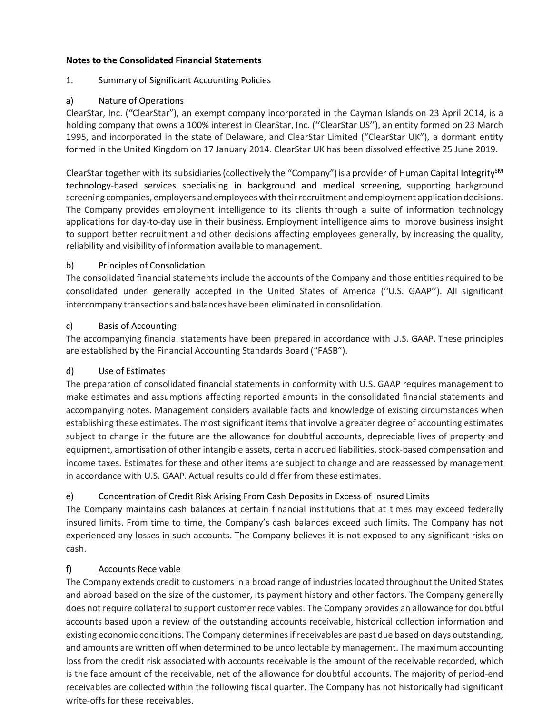#### **Notes to the Consolidated Financial Statements**

# 1. Summary of Significant Accounting Policies

# a) Nature of Operations

ClearStar, Inc. ("ClearStar"), an exempt company incorporated in the Cayman Islands on 23 April 2014, is a holding company that owns a 100% interest in ClearStar, Inc. (''ClearStar US''), an entity formed on 23 March 1995, and incorporated in the state of Delaware, and ClearStar Limited ("ClearStar UK"), a dormant entity formed in the United Kingdom on 17 January 2014. ClearStar UK has been dissolved effective 25 June 2019.

ClearStar together with its subsidiaries (collectively the "Company") is a provider of Human Capital Integrity $^{5M}$ technology-based services specialising in background and medical screening, supporting background screening companies, employers and employees with their recruitment and employment application decisions. The Company provides employment intelligence to its clients through a suite of information technology applications for day-to-day use in their business. Employment intelligence aims to improve business insight to support better recruitment and other decisions affecting employees generally, by increasing the quality, reliability and visibility of information available to management.

# b) Principles of Consolidation

The consolidated financial statements include the accounts of the Company and those entities required to be consolidated under generally accepted in the United States of America (''U.S. GAAP''). All significant intercompany transactions and balances have been eliminated in consolidation.

## c) Basis of Accounting

The accompanying financial statements have been prepared in accordance with U.S. GAAP. These principles are established by the Financial Accounting Standards Board ("FASB").

# d) Use of Estimates

The preparation of consolidated financial statements in conformity with U.S. GAAP requires management to make estimates and assumptions affecting reported amounts in the consolidated financial statements and accompanying notes. Management considers available facts and knowledge of existing circumstances when establishing these estimates. The most significant items that involve a greater degree of accounting estimates subject to change in the future are the allowance for doubtful accounts, depreciable lives of property and equipment, amortisation of other intangible assets, certain accrued liabilities, stock-based compensation and income taxes. Estimates for these and other items are subject to change and are reassessed by management in accordance with U.S. GAAP. Actual results could differ from these estimates.

# e) Concentration of Credit Risk Arising From Cash Deposits in Excess of Insured Limits

The Company maintains cash balances at certain financial institutions that at times may exceed federally insured limits. From time to time, the Company's cash balances exceed such limits. The Company has not experienced any losses in such accounts. The Company believes it is not exposed to any significant risks on cash.

#### f) Accounts Receivable

The Company extends credit to customers in a broad range of industries located throughout the United States and abroad based on the size of the customer, its payment history and other factors. The Company generally does not require collateral to support customer receivables. The Company provides an allowance for doubtful accounts based upon a review of the outstanding accounts receivable, historical collection information and existing economic conditions. The Company determines if receivables are past due based on days outstanding, and amounts are written off when determined to be uncollectable by management. The maximum accounting loss from the credit risk associated with accounts receivable is the amount of the receivable recorded, which is the face amount of the receivable, net of the allowance for doubtful accounts. The majority of period-end receivables are collected within the following fiscal quarter. The Company has not historically had significant write-offs for these receivables.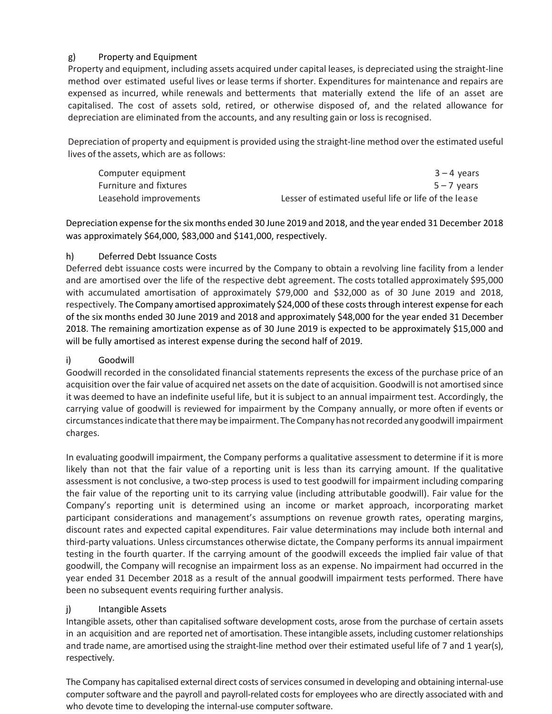# g) Property and Equipment

Property and equipment, including assets acquired under capital leases, is depreciated using the straight-line method over estimated useful lives or lease terms if shorter. Expenditures for maintenance and repairs are expensed as incurred, while renewals and betterments that materially extend the life of an asset are capitalised. The cost of assets sold, retired, or otherwise disposed of, and the related allowance for depreciation are eliminated from the accounts, and any resulting gain or loss is recognised.

Depreciation of property and equipment is provided using the straight-line method over the estimated useful lives of the assets, which are as follows:

| Computer equipment     | 3 – 4 vears                                          |
|------------------------|------------------------------------------------------|
| Furniture and fixtures | $5 - 7$ vears                                        |
| Leasehold improvements | Lesser of estimated useful life or life of the lease |

Depreciation expense forthe sixmonths ended 30 June 2019 and 2018, and the year ended 31 December 2018 was approximately \$64,000, \$83,000 and \$141,000, respectively.

## h) Deferred Debt Issuance Costs

Deferred debt issuance costs were incurred by the Company to obtain a revolving line facility from a lender and are amortised over the life of the respective debt agreement. The costs totalled approximately \$95,000 with accumulated amortisation of approximately \$79,000 and \$32,000 as of 30 June 2019 and 2018, respectively. The Company amortised approximately \$24,000 of these costs through interest expense for each of the six months ended 30 June 2019 and 2018 and approximately \$48,000 for the year ended 31 December 2018. The remaining amortization expense as of 30 June 2019 is expected to be approximately \$15,000 and will be fully amortised as interest expense during the second half of 2019.

# i) Goodwill

Goodwill recorded in the consolidated financial statements represents the excess of the purchase price of an acquisition over the fair value of acquired net assets on the date of acquisition. Goodwill is not amortised since it was deemed to have an indefinite useful life, but it is subject to an annual impairment test. Accordingly, the carrying value of goodwill is reviewed for impairment by the Company annually, or more often if events or circumstancesindicate thattheremay be impairment.TheCompany has notrecorded any goodwill impairment charges.

In evaluating goodwill impairment, the Company performs a qualitative assessment to determine if it is more likely than not that the fair value of a reporting unit is less than its carrying amount. If the qualitative assessment is not conclusive, a two-step process is used to test goodwill for impairment including comparing the fair value of the reporting unit to its carrying value (including attributable goodwill). Fair value for the Company's reporting unit is determined using an income or market approach, incorporating market participant considerations and management's assumptions on revenue growth rates, operating margins, discount rates and expected capital expenditures. Fair value determinations may include both internal and third-party valuations. Unless circumstances otherwise dictate, the Company performs its annual impairment testing in the fourth quarter. If the carrying amount of the goodwill exceeds the implied fair value of that goodwill, the Company will recognise an impairment loss as an expense. No impairment had occurred in the year ended 31 December 2018 as a result of the annual goodwill impairment tests performed. There have been no subsequent events requiring further analysis.

# j) Intangible Assets

Intangible assets, other than capitalised software development costs, arose from the purchase of certain assets in an acquisition and are reported net of amortisation. These intangible assets, including customer relationships and trade name, are amortised using the straight-line method over their estimated useful life of 7 and 1 year(s), respectively.

The Company has capitalised external direct costs of services consumed in developing and obtaining internal-use computer software and the payroll and payroll-related costs for employees who are directly associated with and who devote time to developing the internal-use computer software.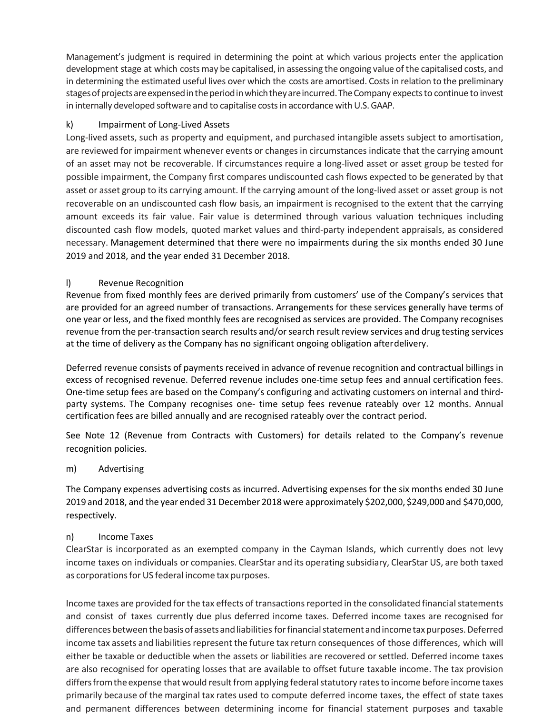Management's judgment is required in determining the point at which various projects enter the application development stage at which costs may be capitalised, in assessing the ongoing value of the capitalised costs, and in determining the estimated useful lives over which the costs are amortised. Costsin relation to the preliminary stages of projects are expensed in the period in which they are incurred. The Company expects to continue to invest in internally developed software and to capitalise costs in accordance with U.S. GAAP.

# k) Impairment of Long-Lived Assets

Long-lived assets, such as property and equipment, and purchased intangible assets subject to amortisation, are reviewed for impairment whenever events or changes in circumstances indicate that the carrying amount of an asset may not be recoverable. If circumstances require a long-lived asset or asset group be tested for possible impairment, the Company first compares undiscounted cash flows expected to be generated by that asset or asset group to its carrying amount. If the carrying amount of the long-lived asset or asset group is not recoverable on an undiscounted cash flow basis, an impairment is recognised to the extent that the carrying amount exceeds its fair value. Fair value is determined through various valuation techniques including discounted cash flow models, quoted market values and third-party independent appraisals, as considered necessary. Management determined that there were no impairments during the six months ended 30 June 2019 and 2018, and the year ended 31 December 2018.

# l) Revenue Recognition

Revenue from fixed monthly fees are derived primarily from customers' use of the Company's services that are provided for an agreed number of transactions. Arrangements for these services generally have terms of one year or less, and the fixed monthly fees are recognised as services are provided. The Company recognises revenue from the per-transaction search results and/or search result review services and drug testing services at the time of delivery as the Company has no significant ongoing obligation afterdelivery.

Deferred revenue consists of payments received in advance of revenue recognition and contractual billings in excess of recognised revenue. Deferred revenue includes one-time setup fees and annual certification fees. One-time setup fees are based on the Company's configuring and activating customers on internal and thirdparty systems. The Company recognises one- time setup fees revenue rateably over 12 months. Annual certification fees are billed annually and are recognised rateably over the contract period.

See Note 12 (Revenue from Contracts with Customers) for details related to the Company's revenue recognition policies.

# m) Advertising

The Company expenses advertising costs as incurred. Advertising expenses for the six months ended 30 June 2019 and 2018, and the year ended 31 December 2018 were approximately \$202,000, \$249,000 and \$470,000, respectively.

# n) Income Taxes

ClearStar is incorporated as an exempted company in the Cayman Islands, which currently does not levy income taxes on individuals or companies. ClearStar and its operating subsidiary, ClearStar US, are both taxed as corporations for US federal income tax purposes.

Income taxes are provided for the tax effects of transactions reported in the consolidated financial statements and consist of taxes currently due plus deferred income taxes. Deferred income taxes are recognised for differences between the basis of assets and liabilities for financial statement and income tax purposes. Deferred income tax assets and liabilities represent the future tax return consequences of those differences, which will either be taxable or deductible when the assets or liabilities are recovered or settled. Deferred income taxes are also recognised for operating losses that are available to offset future taxable income. The tax provision differs from the expense that would result from applying federal statutory rates to income before income taxes primarily because of the marginal tax rates used to compute deferred income taxes, the effect of state taxes and permanent differences between determining income for financial statement purposes and taxable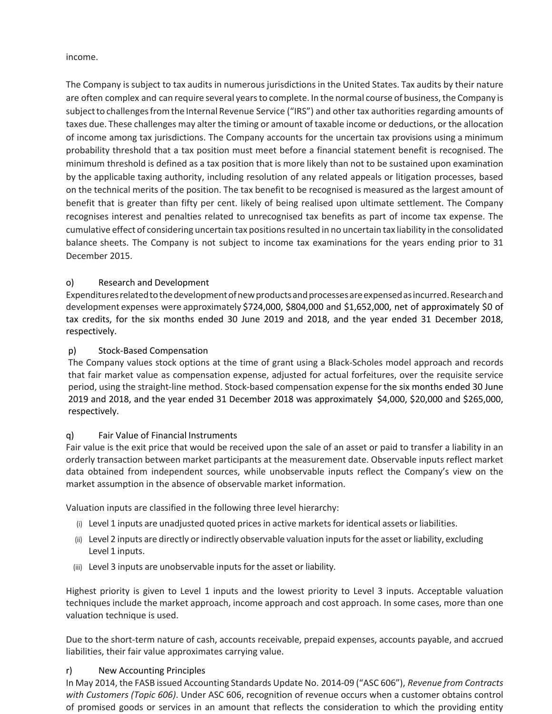#### income.

The Company is subject to tax audits in numerous jurisdictions in the United States. Tax audits by their nature are often complex and can require several years to complete. In the normal course of business, the Company is subject to challenges from the Internal Revenue Service ("IRS") and other tax authorities regarding amounts of taxes due. These challenges may alter the timing or amount of taxable income or deductions, or the allocation of income among tax jurisdictions. The Company accounts for the uncertain tax provisions using a minimum probability threshold that a tax position must meet before a financial statement benefit is recognised. The minimum threshold is defined as a tax position that is more likely than not to be sustained upon examination by the applicable taxing authority, including resolution of any related appeals or litigation processes, based on the technical merits of the position. The tax benefit to be recognised is measured as the largest amount of benefit that is greater than fifty per cent. likely of being realised upon ultimate settlement. The Company recognises interest and penalties related to unrecognised tax benefits as part of income tax expense. The cumulative effect of considering uncertain tax positions resulted in no uncertain tax liability in the consolidated balance sheets. The Company is not subject to income tax examinations for the years ending prior to 31 December 2015.

# o) Research and Development

Expendituresrelatedtothedevelopmentofnewproductsandprocessesareexpensedasincurred.Researchand development expenses were approximately \$724,000, \$804,000 and \$1,652,000, net of approximately \$0 of tax credits, for the six months ended 30 June 2019 and 2018, and the year ended 31 December 2018, respectively.

# p) Stock-Based Compensation

The Company values stock options at the time of grant using a Black-Scholes model approach and records that fair market value as compensation expense, adjusted for actual forfeitures, over the requisite service period, using the straight-line method. Stock-based compensation expense forthe six months ended 30 June 2019 and 2018, and the year ended 31 December 2018 was approximately \$4,000, \$20,000 and \$265,000, respectively.

# q) Fair Value of Financial Instruments

Fair value is the exit price that would be received upon the sale of an asset or paid to transfer a liability in an orderly transaction between market participants at the measurement date. Observable inputs reflect market data obtained from independent sources, while unobservable inputs reflect the Company's view on the market assumption in the absence of observable market information.

Valuation inputs are classified in the following three level hierarchy:

- (i) Level 1 inputs are unadjusted quoted pricesin active marketsforidentical assets or liabilities.
- (ii) Level 2 inputs are directly orindirectly observable valuation inputsforthe asset orliability, excluding Level 1 inputs.
- (iii) Level 3 inputs are unobservable inputs for the asset or liability.

Highest priority is given to Level 1 inputs and the lowest priority to Level 3 inputs. Acceptable valuation techniques include the market approach, income approach and cost approach. In some cases, more than one valuation technique is used.

Due to the short-term nature of cash, accounts receivable, prepaid expenses, accounts payable, and accrued liabilities, their fair value approximates carrying value.

#### r) New Accounting Principles

In May 2014, the FASB issued Accounting Standards Update No. 2014-09 ("ASC 606"), *Revenue from Contracts with Customers (Topic 606)*. Under ASC 606, recognition of revenue occurs when a customer obtains control of promised goods or services in an amount that reflects the consideration to which the providing entity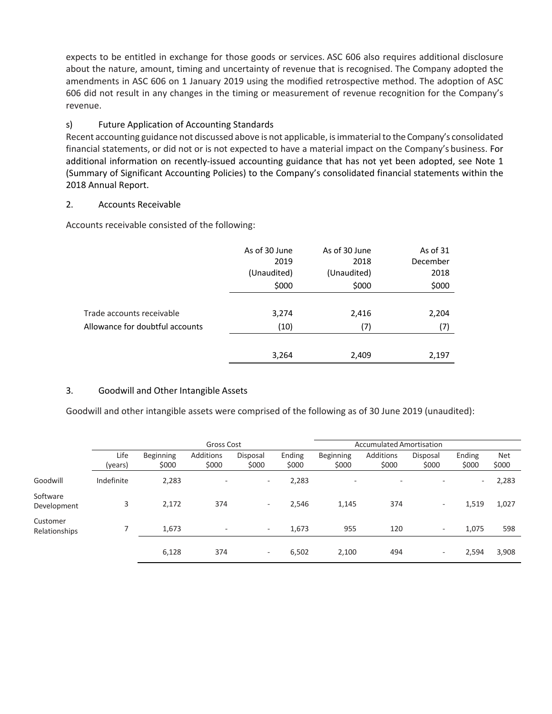expects to be entitled in exchange for those goods or services. ASC 606 also requires additional disclosure about the nature, amount, timing and uncertainty of revenue that is recognised. The Company adopted the amendments in ASC 606 on 1 January 2019 using the modified retrospective method. The adoption of ASC 606 did not result in any changes in the timing or measurement of revenue recognition for the Company's revenue.

# s) Future Application of Accounting Standards

Recent accounting guidance not discussed above is not applicable, is immaterial to the Company's consolidated financial statements, or did not or is not expected to have a material impact on the Company's business. For additional information on recently-issued accounting guidance that has not yet been adopted, see Note 1 (Summary of Significant Accounting Policies) to the Company's consolidated financial statements within the 2018 Annual Report.

## 2. Accounts Receivable

Accounts receivable consisted of the following:

|                                 | As of 30 June | As of 30 June | As of 31 |
|---------------------------------|---------------|---------------|----------|
|                                 | 2019          | 2018          | December |
|                                 | (Unaudited)   | (Unaudited)   | 2018     |
|                                 | \$000         | \$000         | \$000    |
|                                 |               |               |          |
| Trade accounts receivable       | 3,274         | 2,416         | 2,204    |
| Allowance for doubtful accounts | (10)          | (7)           | (7)      |
|                                 |               |               |          |
|                                 | 3,264         | 2,409         | 2,197    |

#### 3. Goodwill and Other Intangible Assets

Goodwill and other intangible assets were comprised of the following as of 30 June 2019 (unaudited):

|                           |                 | Gross Cost                |                          |                          |                 |                           | <b>Accumulated Amortisation</b> |                          |                          |                     |
|---------------------------|-----------------|---------------------------|--------------------------|--------------------------|-----------------|---------------------------|---------------------------------|--------------------------|--------------------------|---------------------|
|                           | Life<br>(years) | <b>Beginning</b><br>\$000 | Additions<br>\$000       | Disposal<br>\$000        | Ending<br>\$000 | <b>Beginning</b><br>\$000 | Additions<br>\$000              | Disposal<br>\$000        | Ending<br>\$000          | <b>Net</b><br>\$000 |
| Goodwill                  | Indefinite      | 2,283                     | $\overline{\phantom{a}}$ | $\overline{\phantom{a}}$ | 2,283           | $\overline{\phantom{a}}$  | $\overline{\phantom{a}}$        | $\overline{\phantom{0}}$ | $\overline{\phantom{a}}$ | 2,283               |
| Software<br>Development   | 3               | 2,172                     | 374                      | $\overline{\phantom{a}}$ | 2,546           | 1,145                     | 374                             | ۰.                       | 1,519                    | 1,027               |
| Customer<br>Relationships |                 | 1,673                     | $\overline{\phantom{a}}$ | $\overline{\phantom{a}}$ | 1,673           | 955                       | 120                             | $\overline{\phantom{a}}$ | 1,075                    | 598                 |
|                           |                 | 6,128                     | 374                      | $\overline{\phantom{a}}$ | 6,502           | 2,100                     | 494                             | $\overline{\phantom{a}}$ | 2,594                    | 3,908               |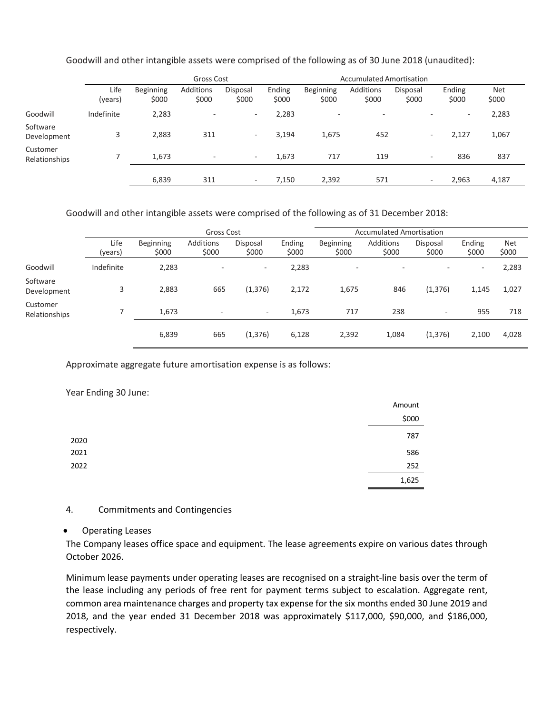|                           |                 | Gross Cost         |                          |                          |                 |                           | <b>Accumulated Amortisation</b> |                   |                          |                     |
|---------------------------|-----------------|--------------------|--------------------------|--------------------------|-----------------|---------------------------|---------------------------------|-------------------|--------------------------|---------------------|
|                           | Life<br>(years) | Beginning<br>\$000 | Additions<br>\$000       | Disposal<br>\$000        | Ending<br>\$000 | <b>Beginning</b><br>\$000 | Additions<br>\$000              | Disposal<br>\$000 | Ending<br>\$000          | <b>Net</b><br>\$000 |
| Goodwill                  | Indefinite      | 2,283              | $\overline{\phantom{0}}$ | $\sim$                   | 2,283           | $\overline{\phantom{0}}$  | $\overline{\phantom{a}}$        |                   | $\overline{\phantom{a}}$ | 2,283               |
| Software<br>Development   | 3               | 2,883              | 311                      | $\overline{\phantom{a}}$ | 3,194           | 1,675                     | 452                             | $\sim$            | 2,127                    | 1,067               |
| Customer<br>Relationships |                 | 1.673              | $\overline{\phantom{a}}$ | ۰.                       | 1,673           | 717                       | 119                             | $\sim$            | 836                      | 837                 |
|                           |                 | 6,839              | 311                      | $\sim$                   | 7,150           | 2,392                     | 571                             | $\sim$            | 2,963                    | 4,187               |

Goodwill and other intangible assets were comprised of the following as of 30 June 2018 (unaudited):

Goodwill and other intangible assets were comprised of the following as of 31 December 2018:

|                           |                 | Gross Cost         |                          |                          |                 |                    | <b>Accumulated Amortisation</b> |                          |                          |                     |
|---------------------------|-----------------|--------------------|--------------------------|--------------------------|-----------------|--------------------|---------------------------------|--------------------------|--------------------------|---------------------|
|                           | Life<br>(years) | Beginning<br>\$000 | Additions<br>\$000       | Disposal<br>\$000        | Ending<br>\$000 | Beginning<br>\$000 | Additions<br>\$000              | Disposal<br>\$000        | Ending<br>\$000          | <b>Net</b><br>\$000 |
| Goodwill                  | Indefinite      | 2,283              | $\overline{\phantom{a}}$ | $\overline{\phantom{a}}$ | 2,283           | $\sim$             | $\overline{\phantom{a}}$        | $\overline{\phantom{a}}$ | $\overline{\phantom{a}}$ | 2,283               |
| Software<br>Development   | 3               | 2,883              | 665                      | (1, 376)                 | 2,172           | 1,675              | 846                             | (1, 376)                 | 1,145                    | 1,027               |
| Customer<br>Relationships |                 | 1,673              | $\sim$                   | $\sim$                   | 1,673           | 717                | 238                             | ۰                        | 955                      | 718                 |
|                           |                 | 6,839              | 665                      | (1, 376)                 | 6,128           | 2,392              | 1,084                           | (1, 376)                 | 2,100                    | 4,028               |

Approximate aggregate future amortisation expense is as follows:

#### Year Ending 30 June:

|      | Amount |
|------|--------|
|      | \$000  |
| 2020 | 787    |
| 2021 | 586    |
| 2022 | 252    |
|      | 1,625  |

#### 4. Commitments and Contingencies

#### • Operating Leases

The Company leases office space and equipment. The lease agreements expire on various dates through October 2026.

Minimum lease payments under operating leases are recognised on a straight-line basis over the term of the lease including any periods of free rent for payment terms subject to escalation. Aggregate rent, common area maintenance charges and property tax expense for the six months ended 30 June 2019 and 2018, and the year ended 31 December 2018 was approximately \$117,000, \$90,000, and \$186,000, respectively.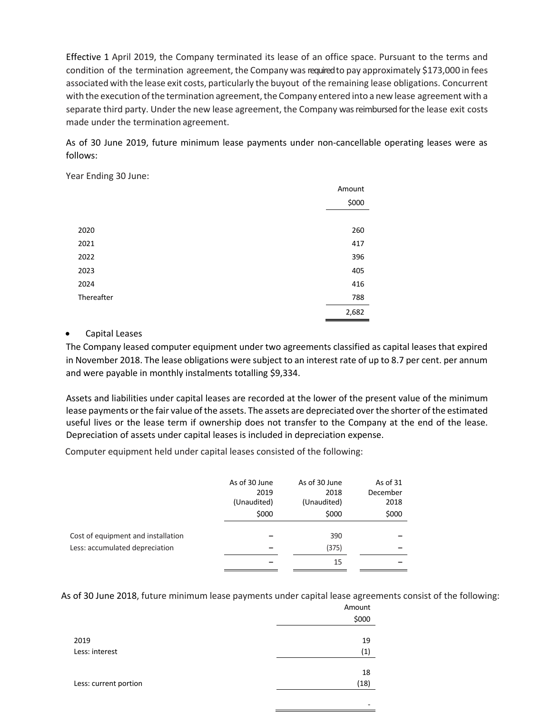Effective 1 April 2019, the Company terminated its lease of an office space. Pursuant to the terms and condition of the termination agreement, the Company was required to pay approximately \$173,000 in fees associated with the lease exit costs, particularly the buyout of the remaining lease obligations. Concurrent with the execution of the termination agreement, the Company entered into a new lease agreement with a separate third party. Under the new lease agreement, the Company was reimbursed for the lease exit costs made under the termination agreement.

As of 30 June 2019, future minimum lease payments under non-cancellable operating leases were as follows:

Year Ending 30 June:

|            | Amount |
|------------|--------|
|            | \$000  |
|            |        |
| 2020       | 260    |
| 2021       | 417    |
| 2022       | 396    |
| 2023       | 405    |
| 2024       | 416    |
| Thereafter | 788    |
|            | 2,682  |

## • Capital Leases

The Company leased computer equipment under two agreements classified as capital leases that expired in November 2018. The lease obligations were subject to an interest rate of up to 8.7 per cent. per annum and were payable in monthly instalments totalling \$9,334.

Assets and liabilities under capital leases are recorded at the lower of the present value of the minimum lease payments or the fair value of the assets. The assets are depreciated over the shorter of the estimated useful lives or the lease term if ownership does not transfer to the Company at the end of the lease. Depreciation of assets under capital leases is included in depreciation expense.

Computer equipment held under capital leases consisted of the following:

|                                                                      | As of 30 June<br>2019<br>(Unaudited)<br>\$000 | As of 30 June<br>2018<br>(Unaudited)<br>\$000 | As of 31<br>December<br>2018<br>\$000 |
|----------------------------------------------------------------------|-----------------------------------------------|-----------------------------------------------|---------------------------------------|
| Cost of equipment and installation<br>Less: accumulated depreciation |                                               | 390<br>(375)                                  |                                       |
|                                                                      |                                               | 15                                            |                                       |

As of 30 June 2018, future minimum lease payments under capital lease agreements consist of the following:

| Amount |
|--------|
| \$000  |
| 19     |
| (1)    |
| 18     |
| (18)   |
|        |
|        |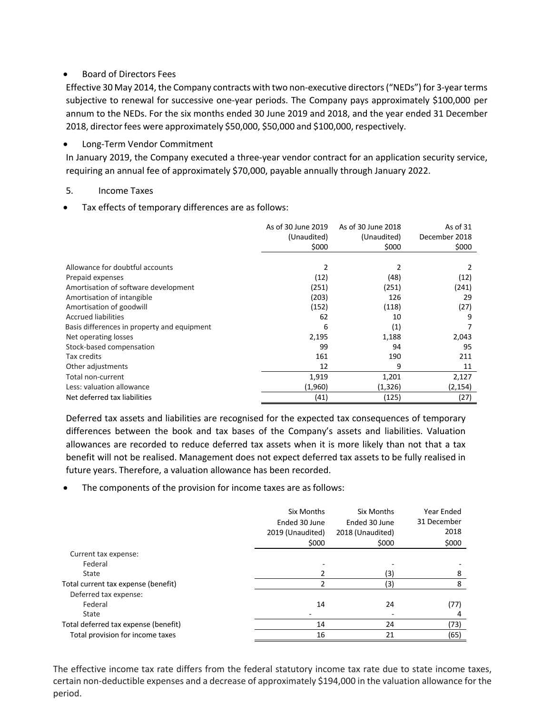# • Board of Directors Fees

Effective 30 May 2014, the Company contracts with two non-executive directors ("NEDs") for 3-year terms subjective to renewal for successive one-year periods. The Company pays approximately \$100,000 per annum to the NEDs. For the six months ended 30 June 2019 and 2018, and the year ended 31 December 2018, directorfees were approximately \$50,000, \$50,000 and \$100,000, respectively.

#### • Long-Term Vendor Commitment

In January 2019, the Company executed a three-year vendor contract for an application security service, requiring an annual fee of approximately \$70,000, payable annually through January 2022.

#### 5. Income Taxes

Tax effects of temporary differences are as follows:

|                                             | As of 30 June 2019<br>(Unaudited)<br>\$000 | As of 30 June 2018<br>(Unaudited)<br>\$000 | As of 31<br>December 2018<br>\$000 |
|---------------------------------------------|--------------------------------------------|--------------------------------------------|------------------------------------|
|                                             |                                            |                                            |                                    |
| Allowance for doubtful accounts             | 2                                          | 2                                          |                                    |
| Prepaid expenses                            | (12)                                       | (48)                                       | (12)                               |
| Amortisation of software development        | (251)                                      | (251)                                      | (241)                              |
| Amortisation of intangible                  | (203)                                      | 126                                        | 29                                 |
| Amortisation of goodwill                    | (152)                                      | (118)                                      | (27)                               |
| <b>Accrued liabilities</b>                  | 62                                         | 10                                         | 9                                  |
| Basis differences in property and equipment | 6                                          | (1)                                        |                                    |
| Net operating losses                        | 2,195                                      | 1,188                                      | 2,043                              |
| Stock-based compensation                    | 99                                         | 94                                         | 95                                 |
| Tax credits                                 | 161                                        | 190                                        | 211                                |
| Other adjustments                           | 12                                         | 9                                          | 11                                 |
| Total non-current                           | 1,919                                      | 1,201                                      | 2,127                              |
| Less: valuation allowance                   | (1,960)                                    | (1, 326)                                   | (2, 154)                           |
| Net deferred tax liabilities                | (41)                                       | (125)                                      | (27)                               |

Deferred tax assets and liabilities are recognised for the expected tax consequences of temporary differences between the book and tax bases of the Company's assets and liabilities. Valuation allowances are recorded to reduce deferred tax assets when it is more likely than not that a tax benefit will not be realised. Management does not expect deferred tax assets to be fully realised in future years. Therefore, a valuation allowance has been recorded.

The components of the provision for income taxes are as follows:

|                                      | Six Months<br>Ended 30 June<br>2019 (Unaudited)<br>\$000 | Six Months<br>Ended 30 June<br>2018 (Unaudited)<br>\$000 | Year Ended<br>31 December<br>2018<br>\$000 |
|--------------------------------------|----------------------------------------------------------|----------------------------------------------------------|--------------------------------------------|
| Current tax expense:                 |                                                          |                                                          |                                            |
| Federal                              |                                                          |                                                          |                                            |
| State                                |                                                          | (3)                                                      | 8                                          |
| Total current tax expense (benefit)  | 2                                                        | (3)                                                      | 8                                          |
| Deferred tax expense:                |                                                          |                                                          |                                            |
| Federal                              | 14                                                       | 24                                                       | (77)                                       |
| State                                |                                                          |                                                          | 4                                          |
| Total deferred tax expense (benefit) | 14                                                       | 24                                                       | (73)                                       |
| Total provision for income taxes     | 16                                                       | 21                                                       | (65)                                       |
|                                      |                                                          |                                                          |                                            |

The effective income tax rate differs from the federal statutory income tax rate due to state income taxes, certain non-deductible expenses and a decrease of approximately \$194,000 in the valuation allowance for the period.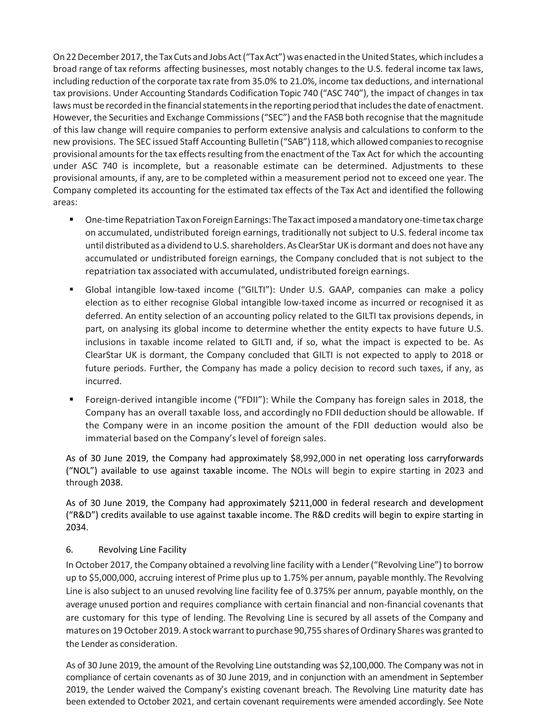On 22 December 2017, the Tax Cuts and Jobs Act ("Tax Act") was enacted in the United States, which includes a broad range of tax reforms affecting businesses, most notably changes to the U.S. federal income tax laws, including reduction of the corporate tax rate from 35.0% to 21.0%, income tax deductions, and international tax provisions. Under Accounting Standards Codification Topic 740 ("ASC 740"), the impact of changes in tax laws must be recorded in the financial statements in the reporting period that includes the date of enactment. However, the Securities and Exchange Commissions ("SEC") and the FASB both recognise that the magnitude of this law change will require companies to perform extensive analysis and calculations to conform to the new provisions. The SEC issued Staff Accounting Bulletin ("SAB") 118, which allowed companiesto recognise provisional amounts for the tax effects resulting from the enactment of the Tax Act for which the accounting under ASC 740 is incomplete, but a reasonable estimate can be determined. Adjustments to these provisional amounts, if any, are to be completed within a measurement period not to exceed one year. The Company completed its accounting for the estimated tax effects of the Tax Act and identified the following areas:

- One-time Repatriation Tax on Foreign Earnings: The Tax act imposed a mandatory one-time tax charge on accumulated, undistributed foreign earnings, traditionally not subject to U.S. federal income tax until distributed as a dividend to U.S. shareholders. As ClearStar UK is dormant and does not have any accumulated or undistributed foreign earnings, the Company concluded that is not subject to the repatriation tax associated with accumulated, undistributed foreign earnings.
- § Global intangible low-taxed income ("GILTI"): Under U.S. GAAP, companies can make a policy election as to either recognise Global intangible low-taxed income as incurred or recognised it as deferred. An entity selection of an accounting policy related to the GILTI tax provisions depends, in part, on analysing its global income to determine whether the entity expects to have future U.S. inclusions in taxable income related to GILTI and, if so, what the impact is expected to be. As ClearStar UK is dormant, the Company concluded that GILTI is not expected to apply to 2018 or future periods. Further, the Company has made a policy decision to record such taxes, if any, as incurred.
- § Foreign-derived intangible income ("FDII"): While the Company has foreign sales in 2018, the Company has an overall taxable loss, and accordingly no FDII deduction should be allowable. If the Company were in an income position the amount of the FDII deduction would also be immaterial based on the Company's level of foreign sales.

As of 30 June 2019, the Company had approximately \$8,992,000 in net operating loss carryforwards ("NOL") available to use against taxable income. The NOLs will begin to expire starting in 2023 and through 2038.

As of 30 June 2019, the Company had approximately \$211,000 in federal research and development ("R&D") credits available to use against taxable income. The R&D credits will begin to expire starting in 2034.

#### 6. Revolving Line Facility

In October 2017, the Company obtained a revolving line facility with a Lender ("Revolving Line") to borrow up to \$5,000,000, accruing interest of Prime plus up to 1.75% per annum, payable monthly. The Revolving Line is also subject to an unused revolving line facility fee of 0.375% per annum, payable monthly, on the average unused portion and requires compliance with certain financial and non-financial covenants that are customary for this type of lending. The Revolving Line is secured by all assets of the Company and matures on 19 October 2019. A stock warrant to purchase 90,755 shares of Ordinary Shares was granted to the Lender as consideration.

As of 30 June 2019, the amount of the Revolving Line outstanding was \$2,100,000. The Company was not in compliance of certain covenants as of 30 June 2019, and in conjunction with an amendment in September 2019, the Lender waived the Company's existing covenant breach. The Revolving Line maturity date has been extended to October 2021, and certain covenant requirements were amended accordingly. See Note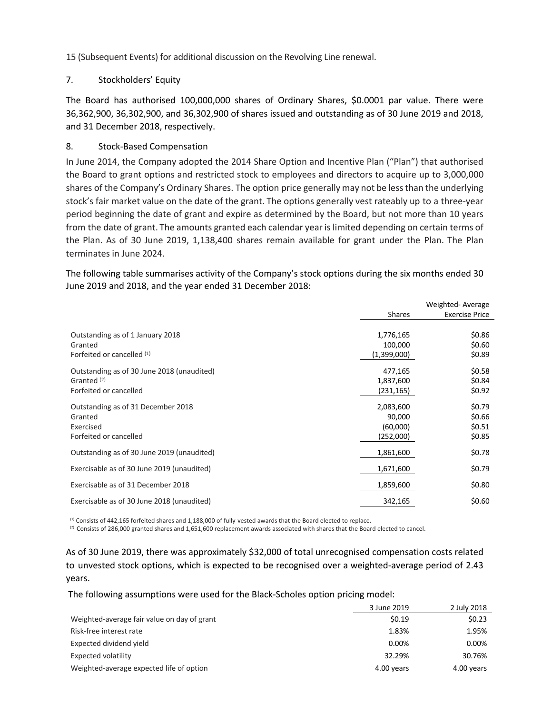15 (Subsequent Events) for additional discussion on the Revolving Line renewal.

## 7. Stockholders' Equity

The Board has authorised 100,000,000 shares of Ordinary Shares, \$0.0001 par value. There were 36,362,900, 36,302,900, and 36,302,900 of shares issued and outstanding as of 30 June 2019 and 2018, and 31 December 2018, respectively.

## 8. Stock-Based Compensation

In June 2014, the Company adopted the 2014 Share Option and Incentive Plan ("Plan") that authorised the Board to grant options and restricted stock to employees and directors to acquire up to 3,000,000 shares of the Company's Ordinary Shares. The option price generally may not be lessthan the underlying stock's fair market value on the date of the grant. The options generally vest rateably up to a three-year period beginning the date of grant and expire as determined by the Board, but not more than 10 years from the date of grant. The amounts granted each calendar year islimited depending on certain terms of the Plan. As of 30 June 2019, 1,138,400 shares remain available for grant under the Plan. The Plan terminates in June 2024.

The following table summarises activity of the Company's stock options during the six months ended 30 June 2019 and 2018, and the year ended 31 December 2018:

|                                            |               | Weighted-Average      |
|--------------------------------------------|---------------|-----------------------|
|                                            | <b>Shares</b> | <b>Exercise Price</b> |
|                                            |               |                       |
| Outstanding as of 1 January 2018           | 1,776,165     | \$0.86                |
| Granted                                    | 100,000       | \$0.60                |
| Forfeited or cancelled (1)                 | (1,399,000)   | \$0.89                |
| Outstanding as of 30 June 2018 (unaudited) | 477,165       | \$0.58                |
| Granted <sup>(2)</sup>                     | 1,837,600     | \$0.84                |
| Forfeited or cancelled                     | (231, 165)    | \$0.92                |
| Outstanding as of 31 December 2018         | 2,083,600     | \$0.79                |
| Granted                                    | 90,000        | \$0.66                |
| Exercised                                  | (60,000)      | \$0.51                |
| Forfeited or cancelled                     | (252,000)     | \$0.85                |
| Outstanding as of 30 June 2019 (unaudited) | 1,861,600     | \$0.78                |
| Exercisable as of 30 June 2019 (unaudited) | 1,671,600     | \$0.79                |
| Exercisable as of 31 December 2018         | 1,859,600     | \$0.80                |
| Exercisable as of 30 June 2018 (unaudited) | 342,165       | \$0.60                |

(1) Consists of 442,165 forfeited shares and 1,188,000 of fully-vested awards that the Board elected to replace.

 $^{(2)}$  Consists of 286,000 granted shares and 1,651,600 replacement awards associated with shares that the Board elected to cancel.

As of 30 June 2019, there was approximately \$32,000 of total unrecognised compensation costs related to unvested stock options, which is expected to be recognised over a weighted-average period of 2.43 years.

The following assumptions were used for the Black-Scholes option pricing model:

|                                             | 3 June 2019 | 2 July 2018 |
|---------------------------------------------|-------------|-------------|
| Weighted-average fair value on day of grant | \$0.19      | \$0.23      |
| Risk-free interest rate                     | 1.83%       | 1.95%       |
| Expected dividend yield                     | 0.00%       | 0.00%       |
| <b>Expected volatility</b>                  | 32.29%      | 30.76%      |
| Weighted-average expected life of option    | 4.00 years  | 4.00 years  |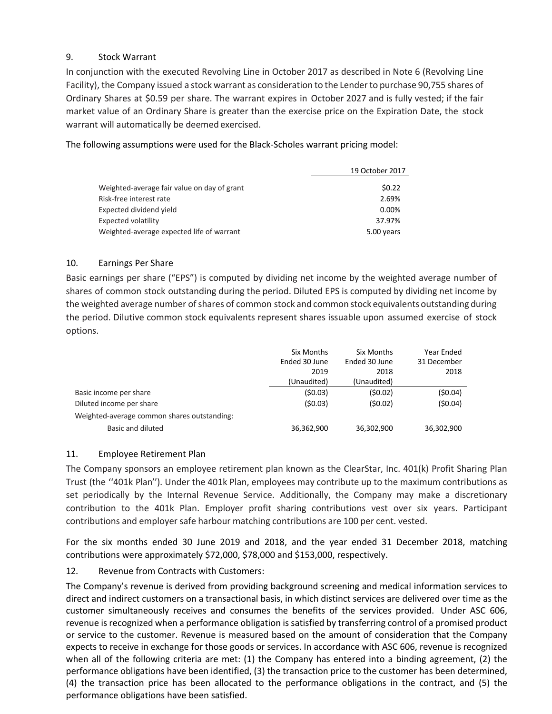# 9. Stock Warrant

In conjunction with the executed Revolving Line in October 2017 as described in Note 6 (Revolving Line Facility), the Company issued a stock warrant as consideration to the Lenderto purchase 90,755 shares of Ordinary Shares at \$0.59 per share. The warrant expires in October 2027 and is fully vested; if the fair market value of an Ordinary Share is greater than the exercise price on the Expiration Date, the stock warrant will automatically be deemed exercised.

The following assumptions were used for the Black-Scholes warrant pricing model:

|                                             | 19 October 2017 |
|---------------------------------------------|-----------------|
| Weighted-average fair value on day of grant | \$0.22          |
| Risk-free interest rate                     | 2.69%           |
| Expected dividend yield                     | $0.00\%$        |
| <b>Expected volatility</b>                  | 37.97%          |
| Weighted-average expected life of warrant   | 5.00 years      |

## 10. Earnings Per Share

Basic earnings per share ("EPS") is computed by dividing net income by the weighted average number of shares of common stock outstanding during the period. Diluted EPS is computed by dividing net income by the weighted average number ofshares of common stock and common stock equivalents outstanding during the period. Dilutive common stock equivalents represent shares issuable upon assumed exercise of stock options.

|                                             | Six Months    | Six Months    | Year Ended  |
|---------------------------------------------|---------------|---------------|-------------|
|                                             | Ended 30 June | Ended 30 June | 31 December |
|                                             | 2019          | 2018          | 2018        |
|                                             | (Unaudited)   | (Unaudited)   |             |
| Basic income per share                      | (50.03)       | (\$0.02)      | (50.04)     |
| Diluted income per share                    | (50.03)       | (50.02)       | (50.04)     |
| Weighted-average common shares outstanding: |               |               |             |
| Basic and diluted                           | 36,362,900    | 36,302,900    | 36,302,900  |

#### 11. Employee Retirement Plan

The Company sponsors an employee retirement plan known as the ClearStar, Inc. 401(k) Profit Sharing Plan Trust (the ''401k Plan''). Under the 401k Plan, employees may contribute up to the maximum contributions as set periodically by the Internal Revenue Service. Additionally, the Company may make a discretionary contribution to the 401k Plan. Employer profit sharing contributions vest over six years. Participant contributions and employer safe harbour matching contributions are 100 per cent. vested.

For the six months ended 30 June 2019 and 2018, and the year ended 31 December 2018, matching contributions were approximately \$72,000, \$78,000 and \$153,000, respectively.

# 12. Revenue from Contracts with Customers:

The Company's revenue is derived from providing background screening and medical information services to direct and indirect customers on a transactional basis, in which distinct services are delivered over time as the customer simultaneously receives and consumes the benefits of the services provided. Under ASC 606, revenue is recognized when a performance obligation is satisfied by transferring control of a promised product or service to the customer. Revenue is measured based on the amount of consideration that the Company expects to receive in exchange for those goods or services. In accordance with ASC 606, revenue is recognized when all of the following criteria are met: (1) the Company has entered into a binding agreement, (2) the performance obligations have been identified, (3) the transaction price to the customer has been determined, (4) the transaction price has been allocated to the performance obligations in the contract, and (5) the performance obligations have been satisfied.